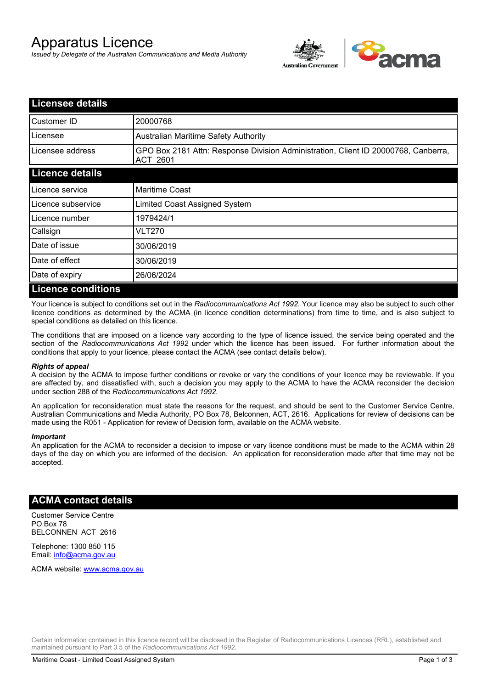# Apparatus Licence

*Issued by Delegate of the Australian Communications and Media Authority*



| <b>Licensee details</b>   |                                                                                                       |
|---------------------------|-------------------------------------------------------------------------------------------------------|
| Customer ID               | 20000768                                                                                              |
| Licensee                  | Australian Maritime Safety Authority                                                                  |
| Licensee address          | GPO Box 2181 Attn: Response Division Administration, Client ID 20000768, Canberra,<br><b>ACT 2601</b> |
| <b>Licence details</b>    |                                                                                                       |
| Licence service           | <b>Maritime Coast</b>                                                                                 |
| Licence subservice        | Limited Coast Assigned System                                                                         |
| Licence number            | 1979424/1                                                                                             |
| Callsign                  | VLT270                                                                                                |
| Date of issue             | 30/06/2019                                                                                            |
| Date of effect            | 30/06/2019                                                                                            |
| Date of expiry            | 26/06/2024                                                                                            |
| <b>Licence conditions</b> |                                                                                                       |

Your licence is subject to conditions set out in the *Radiocommunications Act 1992*. Your licence may also be subject to such other licence conditions as determined by the ACMA (in licence condition determinations) from time to time, and is also subject to special conditions as detailed on this licence.

The conditions that are imposed on a licence vary according to the type of licence issued, the service being operated and the section of the *Radiocommunications Act 1992* under which the licence has been issued. For further information about the conditions that apply to your licence, please contact the ACMA (see contact details below).

### *Rights of appeal*

A decision by the ACMA to impose further conditions or revoke or vary the conditions of your licence may be reviewable. If you are affected by, and dissatisfied with, such a decision you may apply to the ACMA to have the ACMA reconsider the decision under section 288 of the *Radiocommunications Act 1992*.

An application for reconsideration must state the reasons for the request, and should be sent to the Customer Service Centre, Australian Communications and Media Authority, PO Box 78, Belconnen, ACT, 2616. Applications for review of decisions can be made using the R051 - Application for review of Decision form, available on the ACMA website.

#### *Important*

An application for the ACMA to reconsider a decision to impose or vary licence conditions must be made to the ACMA within 28 days of the day on which you are informed of the decision. An application for reconsideration made after that time may not be accepted.

### **ACMA contact details**

Customer Service Centre PO Box 78 BELCONNEN ACT 2616

Telephone: 1300 850 115 Email: info@acma.gov.au

ACMA website: www.acma.gov.au

Certain information contained in this licence record will be disclosed in the Register of Radiocommunications Licences (RRL), established and maintained pursuant to Part 3.5 of the *Radiocommunications Act 1992.*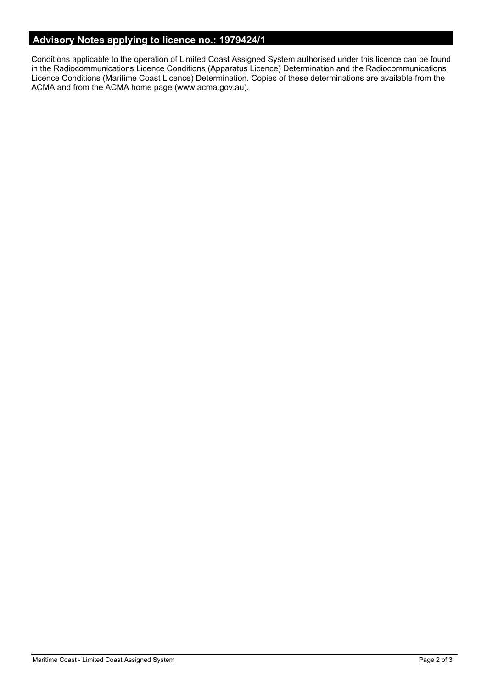# **Advisory Notes applying to licence no.: 1979424/1**

Conditions applicable to the operation of Limited Coast Assigned System authorised under this licence can be found in the Radiocommunications Licence Conditions (Apparatus Licence) Determination and the Radiocommunications Licence Conditions (Maritime Coast Licence) Determination. Copies of these determinations are available from the ACMA and from the ACMA home page (www.acma.gov.au).